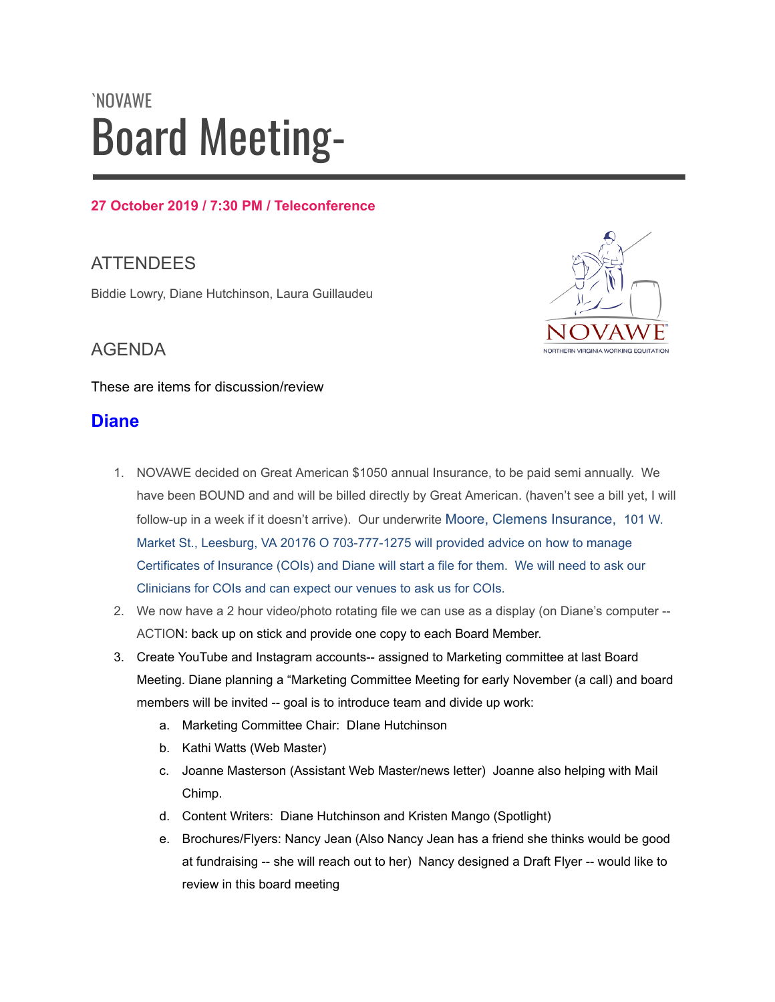# `NOVAWE Board Meeting-

#### **27 October 2019 / 7:30 PM / Teleconference**

## **ATTENDEES**

Biddie Lowry, Diane Hutchinson, Laura Guillaudeu



These are items for discussion/review

## **Diane**

- 1. NOVAWE decided on Great American \$1050 annual Insurance, to be paid semi annually. We have been BOUND and and will be billed directly by Great American. (haven't see a bill yet, I will follow-up in a week if it doesn't arrive). Our underwrite Moore, Clemens Insurance, 101 W. Market St., Leesburg, VA 20176 O 703-777-1275 will provided advice on how to manage Certificates of Insurance (COIs) and Diane will start a file for them. We will need to ask our Clinicians for COIs and can expect our venues to ask us for COIs.
- 2. We now have a 2 hour video/photo rotating file we can use as a display (on Diane's computer -- ACTION: back up on stick and provide one copy to each Board Member.
- 3. Create YouTube and Instagram accounts-- assigned to Marketing committee at last Board Meeting. Diane planning a "Marketing Committee Meeting for early November (a call) and board members will be invited -- goal is to introduce team and divide up work:
	- a. Marketing Committee Chair: DIane Hutchinson
	- b. Kathi Watts (Web Master)
	- c. Joanne Masterson (Assistant Web Master/news letter) Joanne also helping with Mail Chimp.
	- d. Content Writers: Diane Hutchinson and Kristen Mango (Spotlight)
	- e. Brochures/Flyers: Nancy Jean (Also Nancy Jean has a friend she thinks would be good at fundraising -- she will reach out to her) Nancy designed a Draft Flyer -- would like to review in this board meeting

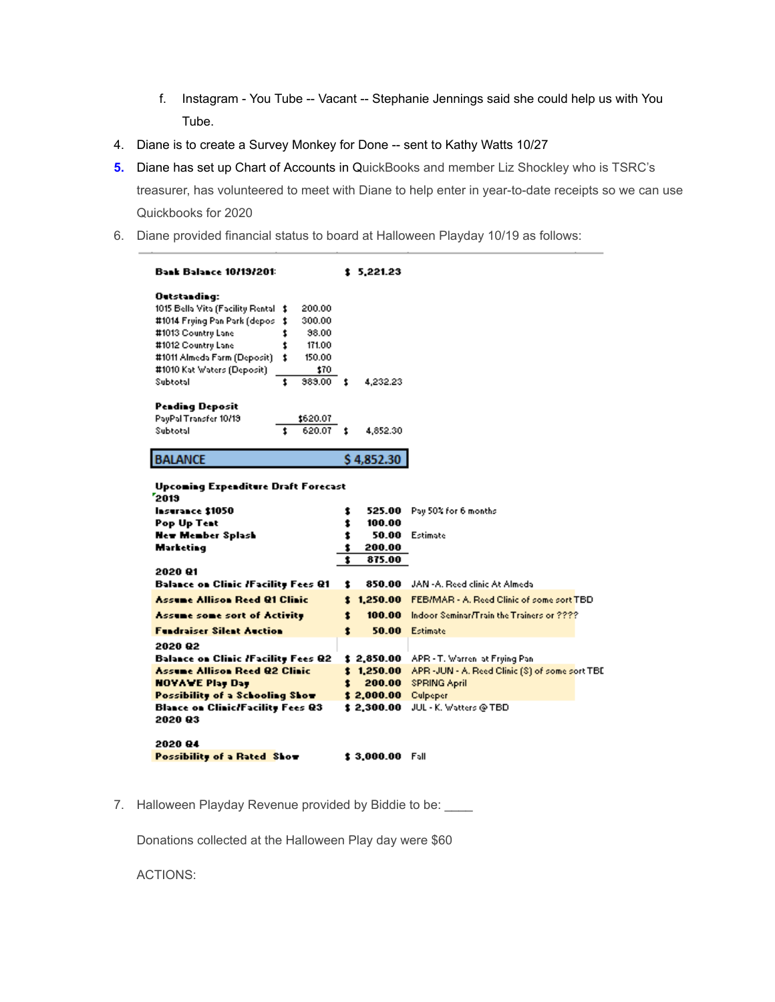- f. Instagram You Tube -- Vacant -- Stephanie Jennings said she could help us with You Tube.
- 4. Diane is to create a Survey Monkey for Done -- sent to Kathy Watts 10/27
- **5.** Diane has set up Chart of Accounts in QuickBooks and member Liz Shockley who is TSRC's treasurer, has volunteered to meet with Diane to help enter in year-to-date receipts so we can use Quickbooks for 2020
- 6. Diane provided financial status to board at Halloween Playday 10/19 as follows:

| <b>Bank Balance 10/19/201:</b>                                                                                                                                                                                                                                                                        | \$5.221.23                                                                 |                                                                                                                                                |
|-------------------------------------------------------------------------------------------------------------------------------------------------------------------------------------------------------------------------------------------------------------------------------------------------------|----------------------------------------------------------------------------|------------------------------------------------------------------------------------------------------------------------------------------------|
| Outstanding:<br>1015 Bella Vita (Facility Rental \$<br>200.00<br>#1014 Frying Pan Park (depos<br>300.00<br>1<br>#1013 Country Lane<br>38.00<br>\$<br>#1012 Country Lane<br>t<br>171.00<br>#1011 Almeda Farm (Deposit)<br>1<br>150.00<br>#1010 Kat Waters (Deposit)<br>\$70<br>383.00<br>Subtotal<br>t | \$<br>4,232.23                                                             |                                                                                                                                                |
| <b>Pending Deposit</b><br>PayPal Transfer 10/13<br>\$620.07<br>Subtotal<br>620.07<br>٠.                                                                                                                                                                                                               | \$<br>4,852.30                                                             |                                                                                                                                                |
| <b>BALANCE</b>                                                                                                                                                                                                                                                                                        | \$4,852.30                                                                 |                                                                                                                                                |
| Upcoming Expenditure Draft Forecast<br>2019<br>Insurance \$1050<br><b>Pop Up Test</b><br><b>New Member Splash</b><br>Marketing<br>2020 Q1                                                                                                                                                             | 525.00<br>\$<br>100.00<br>\$<br>\$<br>50.00<br>200.00<br>\$<br>1<br>875.00 | Pay 50% for 6 months<br>Estimate                                                                                                               |
| <b>Balance on Clinic /Facility Fees Q1</b>                                                                                                                                                                                                                                                            | 850.00<br>\$                                                               | JAN -A. Reed clinic At Almeda                                                                                                                  |
| Assume Allison Reed Q1 Clinic                                                                                                                                                                                                                                                                         | 1,250.00<br>1                                                              | <b>FEBIMAR - A. Reed Clinic of some sort TBD</b>                                                                                               |
| Assume some sort of Activity                                                                                                                                                                                                                                                                          | 1<br>100.00                                                                | Indoor Seminar/Train the Trainers or ????                                                                                                      |
| <b>Fundraiser Silent Auction</b>                                                                                                                                                                                                                                                                      | 1<br>50.00                                                                 | Estimate                                                                                                                                       |
| 2020 Q2<br><b>Balance on Clinic /Facility Fees Q2</b><br>Assume Allison Reed Q2 Clinic<br><b>NOVAWE Play Day</b><br>Possibility of a Schooling Show<br><b>Blance on Clinic/Facility Fees Q3</b><br>2020 Q3                                                                                            | \$2,850.00<br>\$1,250.00<br>1<br>200.00<br>\$2,000.00<br><b>\$2,300.00</b> | APR - T. Warren, at Frying Pan.<br>APR -JUN - A. Reed Clinic (S) of some sort TBE<br><b>SPRING April</b><br>Culpeper<br>JUL - K. Watters @ TBD |
| 2020 Q4<br>Possibility of a Rated Show                                                                                                                                                                                                                                                                | \$3.000.00 Fall                                                            |                                                                                                                                                |

7. Halloween Playday Revenue provided by Biddie to be: \_\_\_\_

Donations collected at the Halloween Play day were \$60

ACTIONS: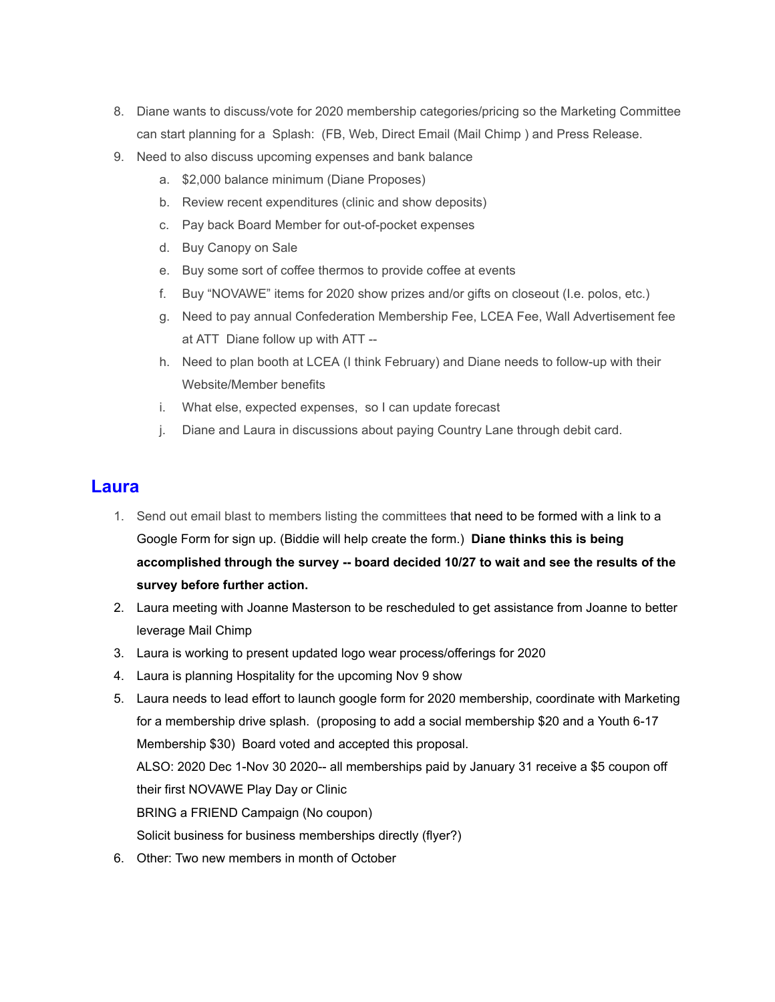- 8. Diane wants to discuss/vote for 2020 membership categories/pricing so the Marketing Committee can start planning for a Splash: (FB, Web, Direct Email (Mail Chimp ) and Press Release.
- 9. Need to also discuss upcoming expenses and bank balance
	- a. \$2,000 balance minimum (Diane Proposes)
	- b. Review recent expenditures (clinic and show deposits)
	- c. Pay back Board Member for out-of-pocket expenses
	- d. Buy Canopy on Sale
	- e. Buy some sort of coffee thermos to provide coffee at events
	- f. Buy "NOVAWE" items for 2020 show prizes and/or gifts on closeout (I.e. polos, etc.)
	- g. Need to pay annual Confederation Membership Fee, LCEA Fee, Wall Advertisement fee at ATT Diane follow up with ATT --
	- h. Need to plan booth at LCEA (I think February) and Diane needs to follow-up with their Website/Member benefits
	- i. What else, expected expenses, so I can update forecast
	- j. Diane and Laura in discussions about paying Country Lane through debit card.

## **Laura**

- 1. Send out email blast to members listing the committees that need to be formed with a link to a Google Form for sign up. (Biddie will help create the form.) **Diane thinks this is being accomplished through the survey -- board decided 10/27 to wait and see the results of the survey before further action.**
- 2. Laura meeting with Joanne Masterson to be rescheduled to get assistance from Joanne to better leverage Mail Chimp
- 3. Laura is working to present updated logo wear process/offerings for 2020
- 4. Laura is planning Hospitality for the upcoming Nov 9 show
- 5. Laura needs to lead effort to launch google form for 2020 membership, coordinate with Marketing for a membership drive splash. (proposing to add a social membership \$20 and a Youth 6-17 Membership \$30) Board voted and accepted this proposal. ALSO: 2020 Dec 1-Nov 30 2020-- all memberships paid by January 31 receive a \$5 coupon off their first NOVAWE Play Day or Clinic BRING a FRIEND Campaign (No coupon) Solicit business for business memberships directly (flyer?)
- 6. Other: Two new members in month of October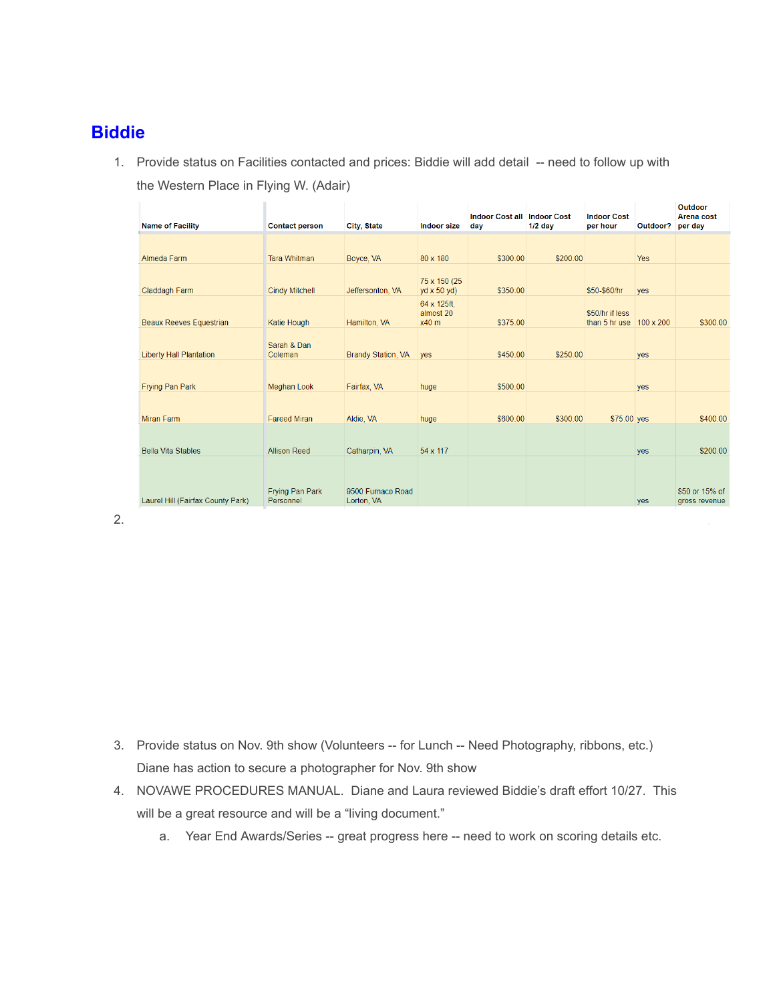## **Biddie**

1. Provide status on Facilities contacted and prices: Biddie will add detail -- need to follow up with the Western Place in Flying W. (Adair)

| <b>Name of Facility</b>           | <b>Contact person</b>  | City, State               | Indoor size                         | <b>Indoor Cost all Indoor Cost</b><br>day | $1/2$ day | <b>Indoor Cost</b><br>per hour                    | Outdoor?   | Outdoor<br>Arena cost<br>per day |
|-----------------------------------|------------------------|---------------------------|-------------------------------------|-------------------------------------------|-----------|---------------------------------------------------|------------|----------------------------------|
|                                   |                        |                           |                                     |                                           |           |                                                   |            |                                  |
| Almeda Farm                       | <b>Tara Whitman</b>    | Boyce, VA                 | 80 x 180                            | \$300.00                                  | \$200.00  |                                                   | <b>Yes</b> |                                  |
| Claddagh Farm                     | <b>Cindy Mitchell</b>  | Jeffersonton, VA          | 75 x 150 (25)<br>$yd \times 50$ yd) | \$350.00                                  |           | \$50-\$60/hr                                      | yes        |                                  |
| <b>Beaux Reeves Equestrian</b>    | Katie Hough            | Hamilton, VA              | 64 x 125ft.<br>almost 20<br>$x40$ m | \$375.00                                  |           | \$50/hr if less<br>than 5 hr use $100 \times 200$ |            | \$300.00                         |
| <b>Liberty Hall Plantation</b>    | Sarah & Dan<br>Coleman | <b>Brandy Station, VA</b> | <b>ves</b>                          | \$450.00                                  | \$250.00  |                                                   | yes        |                                  |
| <b>Frying Pan Park</b>            | <b>Meghan Look</b>     | Fairfax, VA               | huge                                | \$500.00                                  |           |                                                   | yes        |                                  |
|                                   |                        |                           |                                     |                                           |           |                                                   |            |                                  |
| Miran Farm                        | <b>Fareed Miran</b>    | Aldie, VA                 | huge                                | \$600.00                                  | \$300.00  | \$75.00 yes                                       |            | \$400.00                         |
|                                   |                        |                           |                                     |                                           |           |                                                   |            |                                  |
| <b>Bella Vita Stables</b>         | <b>Allison Reed</b>    | Catharpin, VA             | 54 x 117                            |                                           |           |                                                   | yes        | \$200.00                         |
|                                   |                        |                           |                                     |                                           |           |                                                   |            |                                  |
|                                   | Frying Pan Park        | 9500 Furnace Road         |                                     |                                           |           |                                                   |            | \$50 or 15% of                   |
| Laurel Hill (Fairfax County Park) | Personnel              | Lorton, VA                |                                     |                                           |           |                                                   | yes        | gross revenue                    |

2.

- 3. Provide status on Nov. 9th show (Volunteers -- for Lunch -- Need Photography, ribbons, etc.) Diane has action to secure a photographer for Nov. 9th show
- 4. NOVAWE PROCEDURES MANUAL. Diane and Laura reviewed Biddie's draft effort 10/27. This will be a great resource and will be a "living document."
	- a. Year End Awards/Series -- great progress here -- need to work on scoring details etc.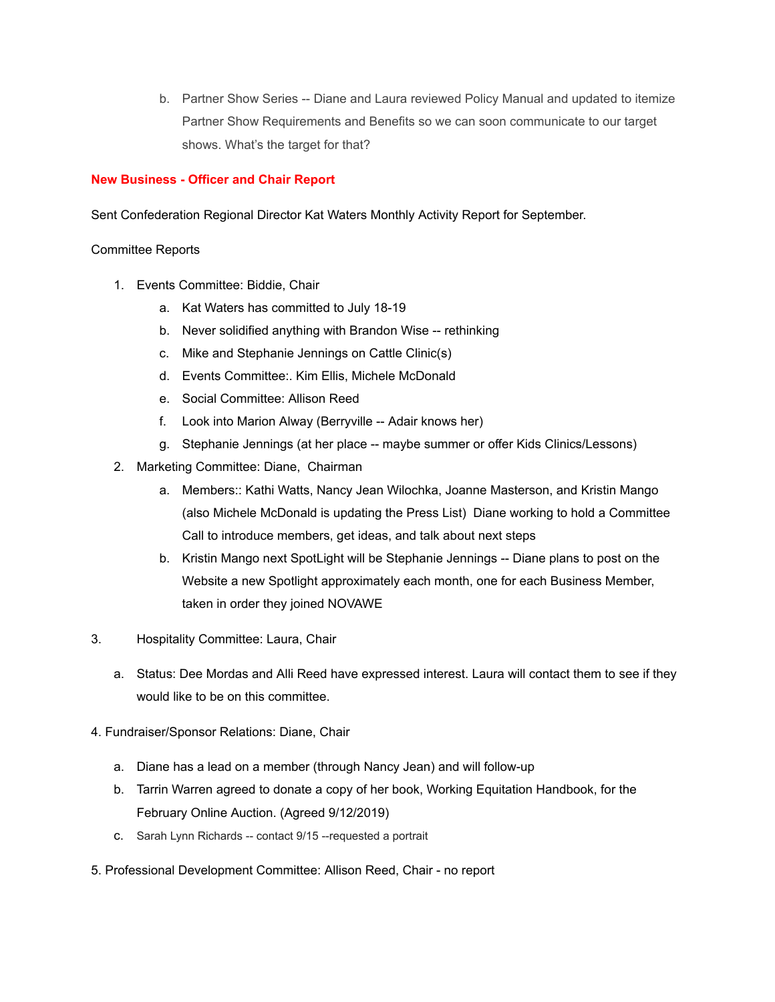b. Partner Show Series -- Diane and Laura reviewed Policy Manual and updated to itemize Partner Show Requirements and Benefits so we can soon communicate to our target shows. What's the target for that?

#### **New Business - Officer and Chair Report**

Sent Confederation Regional Director Kat Waters Monthly Activity Report for September.

#### Committee Reports

- 1. Events Committee: Biddie, Chair
	- a. Kat Waters has committed to July 18-19
	- b. Never solidified anything with Brandon Wise -- rethinking
	- c. Mike and Stephanie Jennings on Cattle Clinic(s)
	- d. Events Committee:. Kim Ellis, Michele McDonald
	- e. Social Committee: Allison Reed
	- f. Look into Marion Alway (Berryville -- Adair knows her)
	- g. Stephanie Jennings (at her place -- maybe summer or offer Kids Clinics/Lessons)
- 2. Marketing Committee: Diane, Chairman
	- a. Members:: Kathi Watts, Nancy Jean Wilochka, Joanne Masterson, and Kristin Mango (also Michele McDonald is updating the Press List) Diane working to hold a Committee Call to introduce members, get ideas, and talk about next steps
	- b. Kristin Mango next SpotLight will be Stephanie Jennings -- Diane plans to post on the Website a new Spotlight approximately each month, one for each Business Member, taken in order they joined NOVAWE
- 3. Hospitality Committee: Laura, Chair
	- a. Status: Dee Mordas and Alli Reed have expressed interest. Laura will contact them to see if they would like to be on this committee.
- 4. Fundraiser/Sponsor Relations: Diane, Chair
	- a. Diane has a lead on a member (through Nancy Jean) and will follow-up
	- b. Tarrin Warren agreed to donate a copy of her book, Working Equitation Handbook, for the February Online Auction. (Agreed 9/12/2019)
	- c. Sarah Lynn Richards -- contact 9/15 --requested a portrait
- 5. Professional Development Committee: Allison Reed, Chair no report